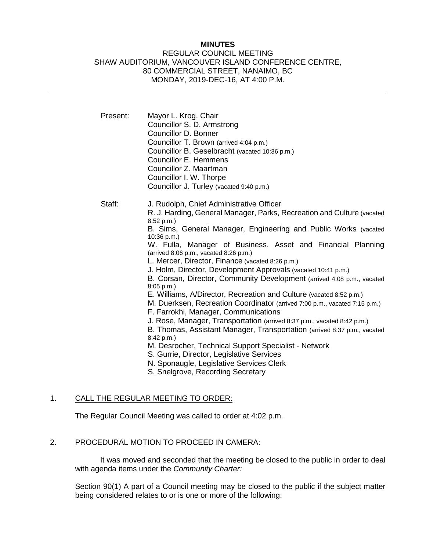## **MINUTES**

### REGULAR COUNCIL MEETING SHAW AUDITORIUM, VANCOUVER ISLAND CONFERENCE CENTRE, 80 COMMERCIAL STREET, NANAIMO, BC MONDAY, 2019-DEC-16, AT 4:00 P.M.

| Present: | Mayor L. Krog, Chair<br>Councillor S. D. Armstrong<br>Councillor D. Bonner<br>Councillor T. Brown (arrived 4:04 p.m.)<br>Councillor B. Geselbracht (vacated 10:36 p.m.)<br>Councillor E. Hemmens<br>Councillor Z. Maartman<br>Councillor I. W. Thorpe<br>Councillor J. Turley (vacated 9:40 p.m.)                                                                                                                                                                                                                                                                                                                                                                                                                                                                                                                                                                                                                                                                                                                                                                                               |
|----------|-------------------------------------------------------------------------------------------------------------------------------------------------------------------------------------------------------------------------------------------------------------------------------------------------------------------------------------------------------------------------------------------------------------------------------------------------------------------------------------------------------------------------------------------------------------------------------------------------------------------------------------------------------------------------------------------------------------------------------------------------------------------------------------------------------------------------------------------------------------------------------------------------------------------------------------------------------------------------------------------------------------------------------------------------------------------------------------------------|
| Staff:   | J. Rudolph, Chief Administrative Officer<br>R. J. Harding, General Manager, Parks, Recreation and Culture (vacated<br>8:52 p.m.)<br>B. Sims, General Manager, Engineering and Public Works (vacated<br>10:36 p.m.)<br>W. Fulla, Manager of Business, Asset and Financial Planning<br>(arrived 8:06 p.m., vacated 8:26 p.m.)<br>L. Mercer, Director, Finance (vacated 8:26 p.m.)<br>J. Holm, Director, Development Approvals (vacated 10:41 p.m.)<br>B. Corsan, Director, Community Development (arrived 4:08 p.m., vacated<br>8:05 p.m.<br>E. Williams, A/Director, Recreation and Culture (vacated 8:52 p.m.)<br>M. Duerksen, Recreation Coordinator (arrived 7:00 p.m., vacated 7:15 p.m.)<br>F. Farrokhi, Manager, Communications<br>J. Rose, Manager, Transportation (arrived 8:37 p.m., vacated 8:42 p.m.)<br>B. Thomas, Assistant Manager, Transportation (arrived 8:37 p.m., vacated<br>8:42 p.m.)<br>M. Desrocher, Technical Support Specialist - Network<br>S. Gurrie, Director, Legislative Services<br>N. Sponaugle, Legislative Services Clerk<br>S. Snelgrove, Recording Secretary |

## 1. CALL THE REGULAR MEETING TO ORDER:

The Regular Council Meeting was called to order at 4:02 p.m.

## 2. PROCEDURAL MOTION TO PROCEED IN CAMERA:

It was moved and seconded that the meeting be closed to the public in order to deal with agenda items under the *Community Charter:*

Section 90(1) A part of a Council meeting may be closed to the public if the subject matter being considered relates to or is one or more of the following: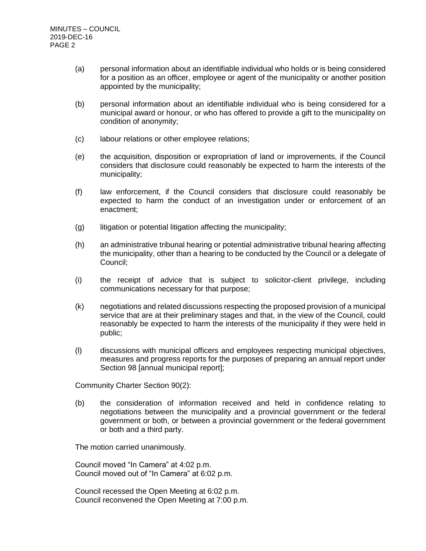- (a) personal information about an identifiable individual who holds or is being considered for a position as an officer, employee or agent of the municipality or another position appointed by the municipality;
- (b) personal information about an identifiable individual who is being considered for a municipal award or honour, or who has offered to provide a gift to the municipality on condition of anonymity;
- (c) labour relations or other employee relations;
- (e) the acquisition, disposition or expropriation of land or improvements, if the Council considers that disclosure could reasonably be expected to harm the interests of the municipality;
- (f) law enforcement, if the Council considers that disclosure could reasonably be expected to harm the conduct of an investigation under or enforcement of an enactment;
- (g) litigation or potential litigation affecting the municipality;
- (h) an administrative tribunal hearing or potential administrative tribunal hearing affecting the municipality, other than a hearing to be conducted by the Council or a delegate of Council;
- (i) the receipt of advice that is subject to solicitor-client privilege, including communications necessary for that purpose;
- (k) negotiations and related discussions respecting the proposed provision of a municipal service that are at their preliminary stages and that, in the view of the Council, could reasonably be expected to harm the interests of the municipality if they were held in public;
- (l) discussions with municipal officers and employees respecting municipal objectives, measures and progress reports for the purposes of preparing an annual report under Section 98 [annual municipal report];

Community Charter Section 90(2):

(b) the consideration of information received and held in confidence relating to negotiations between the municipality and a provincial government or the federal government or both, or between a provincial government or the federal government or both and a third party.

The motion carried unanimously.

Council moved "In Camera" at 4:02 p.m. Council moved out of "In Camera" at 6:02 p.m.

Council recessed the Open Meeting at 6:02 p.m. Council reconvened the Open Meeting at 7:00 p.m.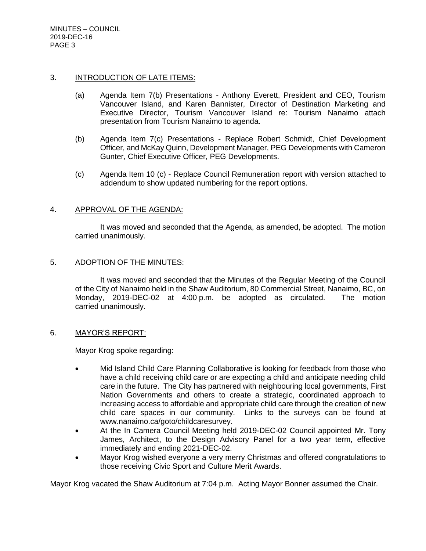#### 3. INTRODUCTION OF LATE ITEMS:

- (a) Agenda Item 7(b) Presentations Anthony Everett, President and CEO, Tourism Vancouver Island, and Karen Bannister, Director of Destination Marketing and Executive Director, Tourism Vancouver Island re: Tourism Nanaimo attach presentation from Tourism Nanaimo to agenda.
- (b) Agenda Item 7(c) Presentations Replace Robert Schmidt, Chief Development Officer, and McKay Quinn, Development Manager, PEG Developments with Cameron Gunter, Chief Executive Officer, PEG Developments.
- (c) Agenda Item 10 (c) Replace Council Remuneration report with version attached to addendum to show updated numbering for the report options.

### 4. APPROVAL OF THE AGENDA:

It was moved and seconded that the Agenda, as amended, be adopted. The motion carried unanimously.

#### 5. ADOPTION OF THE MINUTES:

It was moved and seconded that the Minutes of the Regular Meeting of the Council of the City of Nanaimo held in the Shaw Auditorium, 80 Commercial Street, Nanaimo, BC, on Monday, 2019-DEC-02 at 4:00 p.m. be adopted as circulated. The motion carried unanimously.

#### 6. MAYOR'S REPORT:

Mayor Krog spoke regarding:

- Mid Island Child Care Planning Collaborative is looking for feedback from those who have a child receiving child care or are expecting a child and anticipate needing child care in the future. The City has partnered with neighbouring local governments, First Nation Governments and others to create a strategic, coordinated approach to increasing access to affordable and appropriate child care through the creation of new child care spaces in our community. Links to the surveys can be found at www.nanaimo.ca/goto/childcaresurvey.
- At the In Camera Council Meeting held 2019-DEC-02 Council appointed Mr. Tony James, Architect, to the Design Advisory Panel for a two year term, effective immediately and ending 2021-DEC-02.
- Mayor Krog wished everyone a very merry Christmas and offered congratulations to those receiving Civic Sport and Culture Merit Awards.

Mayor Krog vacated the Shaw Auditorium at 7:04 p.m. Acting Mayor Bonner assumed the Chair.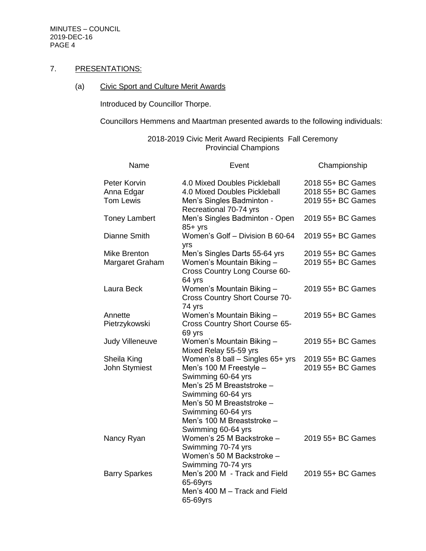## 7. PRESENTATIONS:

# (a) Civic Sport and Culture Merit Awards

Introduced by Councillor Thorpe.

Councillors Hemmens and Maartman presented awards to the following individuals:

| Name                            | Event                                                                                                                                                                                                                                           | Championship                           |
|---------------------------------|-------------------------------------------------------------------------------------------------------------------------------------------------------------------------------------------------------------------------------------------------|----------------------------------------|
| Peter Korvin<br>Anna Edgar      | 4.0 Mixed Doubles Pickleball<br>4.0 Mixed Doubles Pickleball                                                                                                                                                                                    | 2018 55+ BC Games<br>2018 55+ BC Games |
| <b>Tom Lewis</b>                | Men's Singles Badminton -<br>Recreational 70-74 yrs                                                                                                                                                                                             | 2019 55+ BC Games                      |
| <b>Toney Lambert</b>            | Men's Singles Badminton - Open<br>$85+$ yrs                                                                                                                                                                                                     | 2019 55+ BC Games                      |
| Dianne Smith                    | Women's Golf - Division B 60-64<br>yrs                                                                                                                                                                                                          | 2019 55+ BC Games                      |
| Mike Brenton<br>Margaret Graham | Men's Singles Darts 55-64 yrs<br>Women's Mountain Biking -<br>Cross Country Long Course 60-<br>64 yrs                                                                                                                                           | 2019 55+ BC Games<br>2019 55+ BC Games |
| Laura Beck                      | Women's Mountain Biking -<br><b>Cross Country Short Course 70-</b><br>74 yrs                                                                                                                                                                    | 2019 55+ BC Games                      |
| Annette<br>Pietrzykowski        | Women's Mountain Biking -<br>Cross Country Short Course 65-<br>69 yrs                                                                                                                                                                           | 2019 55+ BC Games                      |
| Judy Villeneuve                 | Women's Mountain Biking -<br>Mixed Relay 55-59 yrs                                                                                                                                                                                              | 2019 55+ BC Games                      |
| Sheila King<br>John Stymiest    | Women's $8$ ball – Singles $65+$ yrs<br>Men's 100 M Freestyle -<br>Swimming 60-64 yrs<br>Men's 25 M Breaststroke -<br>Swimming 60-64 yrs<br>Men's 50 M Breaststroke -<br>Swimming 60-64 yrs<br>Men's 100 M Breaststroke -<br>Swimming 60-64 yrs | 2019 55+ BC Games<br>2019 55+ BC Games |
| Nancy Ryan                      | Women's 25 M Backstroke -<br>Swimming 70-74 yrs<br>Women's 50 M Backstroke -<br>Swimming 70-74 yrs                                                                                                                                              | 2019 55+ BC Games                      |
| <b>Barry Sparkes</b>            | Men's 200 M - Track and Field<br>65-69yrs<br>Men's 400 M - Track and Field<br>65-69yrs                                                                                                                                                          | 2019 55+ BC Games                      |

# 2018-2019 Civic Merit Award Recipients Fall Ceremony Provincial Champions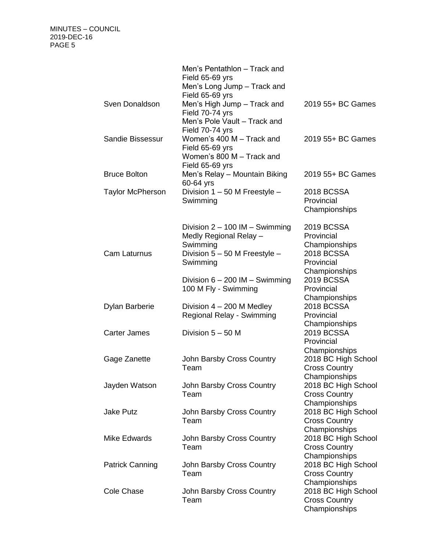|                         | Men's Pentathlon - Track and<br>Field 65-69 yrs<br>Men's Long Jump - Track and<br>Field 65-69 yrs                     |                                                                                                      |
|-------------------------|-----------------------------------------------------------------------------------------------------------------------|------------------------------------------------------------------------------------------------------|
| Sven Donaldson          | Men's High Jump - Track and<br>Field 70-74 yrs<br>Men's Pole Vault - Track and<br>Field 70-74 yrs                     | 2019 55+ BC Games                                                                                    |
| Sandie Bissessur        | Women's 400 M - Track and<br>Field 65-69 yrs<br>Women's 800 M - Track and<br>Field 65-69 yrs                          | 2019 55+ BC Games                                                                                    |
| <b>Bruce Bolton</b>     | Men's Relay - Mountain Biking<br>60-64 yrs                                                                            | 2019 55+ BC Games                                                                                    |
| <b>Taylor McPherson</b> | Division 1 - 50 M Freestyle -<br>Swimming                                                                             | <b>2018 BCSSA</b><br>Provincial<br>Championships                                                     |
| Cam Laturnus            | Division $2 - 100$ IM $-$ Swimming<br>Medly Regional Relay -<br>Swimming<br>Division 5 - 50 M Freestyle -<br>Swimming | <b>2019 BCSSA</b><br>Provincial<br>Championships<br><b>2018 BCSSA</b><br>Provincial<br>Championships |
|                         | Division $6 - 200$ IM $-$ Swimming<br>100 M Fly - Swimming                                                            | <b>2019 BCSSA</b><br>Provincial<br>Championships                                                     |
| <b>Dylan Barberie</b>   | Division $4 - 200$ M Medley<br>Regional Relay - Swimming                                                              | <b>2018 BCSSA</b><br>Provincial<br>Championships                                                     |
| <b>Carter James</b>     | Division $5 - 50$ M                                                                                                   | <b>2019 BCSSA</b><br>Provincial<br>Championships                                                     |
| Gage Zanette            | John Barsby Cross Country<br>Team                                                                                     | 2018 BC High School<br><b>Cross Country</b><br>Championships                                         |
| Jayden Watson           | John Barsby Cross Country<br>Team                                                                                     | 2018 BC High School<br><b>Cross Country</b><br>Championships                                         |
| <b>Jake Putz</b>        | John Barsby Cross Country<br>Team                                                                                     | 2018 BC High School<br><b>Cross Country</b><br>Championships                                         |
| <b>Mike Edwards</b>     | John Barsby Cross Country<br>Team                                                                                     | 2018 BC High School<br><b>Cross Country</b><br>Championships                                         |
| <b>Patrick Canning</b>  | John Barsby Cross Country<br>Team                                                                                     | 2018 BC High School<br><b>Cross Country</b><br>Championships                                         |
| <b>Cole Chase</b>       | John Barsby Cross Country<br>Team                                                                                     | 2018 BC High School<br><b>Cross Country</b><br>Championships                                         |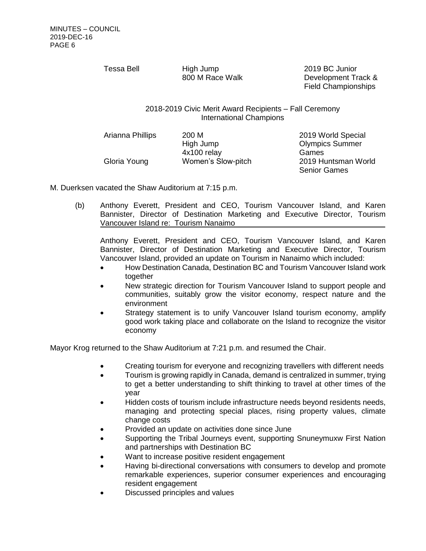Tessa Bell High Jump

800 M Race Walk

2019 BC Junior Development Track & Field Championships

2018-2019 Civic Merit Award Recipients – Fall Ceremony International Champions

Arianna Phillips 200 M Gloria Young Women's Slow-pitch 2019 Huntsman World

High Jump 4x100 relay

2019 World Special Olympics Summer Games Senior Games

M. Duerksen vacated the Shaw Auditorium at 7:15 p.m.

(b) Anthony Everett, President and CEO, Tourism Vancouver Island, and Karen Bannister, Director of Destination Marketing and Executive Director, Tourism Vancouver Island re: Tourism Nanaimo

Anthony Everett, President and CEO, Tourism Vancouver Island, and Karen Bannister, Director of Destination Marketing and Executive Director, Tourism Vancouver Island, provided an update on Tourism in Nanaimo which included:

- How Destination Canada, Destination BC and Tourism Vancouver Island work together
- New strategic direction for Tourism Vancouver Island to support people and communities, suitably grow the visitor economy, respect nature and the environment
- Strategy statement is to unify Vancouver Island tourism economy, amplify good work taking place and collaborate on the Island to recognize the visitor economy

Mayor Krog returned to the Shaw Auditorium at 7:21 p.m. and resumed the Chair.

- Creating tourism for everyone and recognizing travellers with different needs
- Tourism is growing rapidly in Canada, demand is centralized in summer, trying to get a better understanding to shift thinking to travel at other times of the year
- Hidden costs of tourism include infrastructure needs beyond residents needs, managing and protecting special places, rising property values, climate change costs
- Provided an update on activities done since June
- Supporting the Tribal Journeys event, supporting Snuneymuxw First Nation and partnerships with Destination BC
- Want to increase positive resident engagement
- Having bi-directional conversations with consumers to develop and promote remarkable experiences, superior consumer experiences and encouraging resident engagement
- Discussed principles and values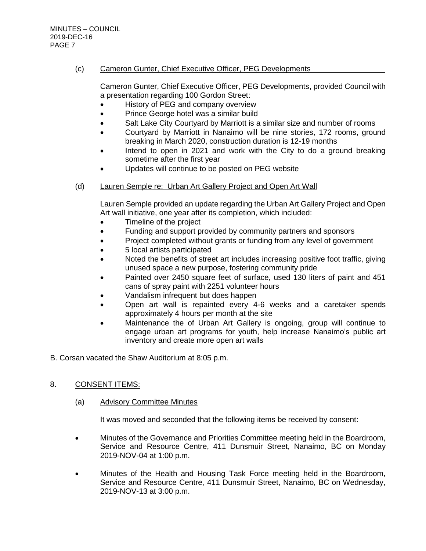## (c) Cameron Gunter, Chief Executive Officer, PEG Developments

Cameron Gunter, Chief Executive Officer, PEG Developments, provided Council with a presentation regarding 100 Gordon Street:

- History of PEG and company overview
- Prince George hotel was a similar build
- Salt Lake City Courtyard by Marriott is a similar size and number of rooms
- Courtyard by Marriott in Nanaimo will be nine stories, 172 rooms, ground breaking in March 2020, construction duration is 12-19 months
- Intend to open in 2021 and work with the City to do a ground breaking sometime after the first year
- Updates will continue to be posted on PEG website

## (d) Lauren Semple re: Urban Art Gallery Project and Open Art Wall

Lauren Semple provided an update regarding the Urban Art Gallery Project and Open Art wall initiative, one year after its completion, which included:

- Timeline of the project
- Funding and support provided by community partners and sponsors
- Project completed without grants or funding from any level of government
- 5 local artists participated
- Noted the benefits of street art includes increasing positive foot traffic, giving unused space a new purpose, fostering community pride
- Painted over 2450 square feet of surface, used 130 liters of paint and 451 cans of spray paint with 2251 volunteer hours
- Vandalism infrequent but does happen
- Open art wall is repainted every 4-6 weeks and a caretaker spends approximately 4 hours per month at the site
- Maintenance the of Urban Art Gallery is ongoing, group will continue to engage urban art programs for youth, help increase Nanaimo's public art inventory and create more open art walls
- B. Corsan vacated the Shaw Auditorium at 8:05 p.m.

## 8. CONSENT ITEMS:

## (a) Advisory Committee Minutes

It was moved and seconded that the following items be received by consent:

- Minutes of the Governance and Priorities Committee meeting held in the Boardroom, Service and Resource Centre, 411 Dunsmuir Street, Nanaimo, BC on Monday 2019-NOV-04 at 1:00 p.m.
- Minutes of the Health and Housing Task Force meeting held in the Boardroom, Service and Resource Centre, 411 Dunsmuir Street, Nanaimo, BC on Wednesday, 2019-NOV-13 at 3:00 p.m.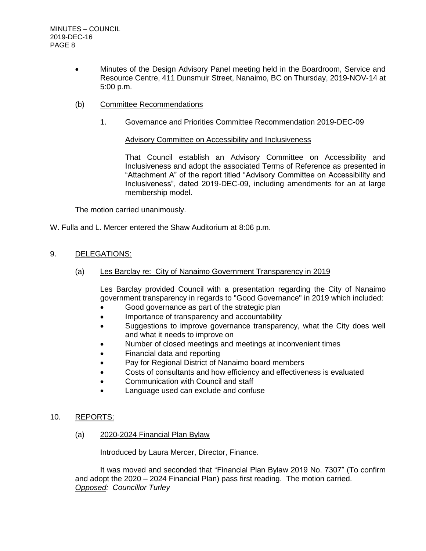- Minutes of the Design Advisory Panel meeting held in the Boardroom, Service and Resource Centre, 411 Dunsmuir Street, Nanaimo, BC on Thursday, 2019-NOV-14 at 5:00 p.m.
- (b) Committee Recommendations
	- 1. Governance and Priorities Committee Recommendation 2019-DEC-09

#### Advisory Committee on Accessibility and Inclusiveness

That Council establish an Advisory Committee on Accessibility and Inclusiveness and adopt the associated Terms of Reference as presented in "Attachment A" of the report titled "Advisory Committee on Accessibility and Inclusiveness", dated 2019-DEC-09, including amendments for an at large membership model.

The motion carried unanimously.

W. Fulla and L. Mercer entered the Shaw Auditorium at 8:06 p.m.

### 9. DELEGATIONS:

(a) Les Barclay re: City of Nanaimo Government Transparency in 2019

Les Barclay provided Council with a presentation regarding the City of Nanaimo government transparency in regards to "Good Governance" in 2019 which included:

- Good governance as part of the strategic plan
- Importance of transparency and accountability
- Suggestions to improve governance transparency, what the City does well and what it needs to improve on
- Number of closed meetings and meetings at inconvenient times
- Financial data and reporting
- Pay for Regional District of Nanaimo board members
- Costs of consultants and how efficiency and effectiveness is evaluated
- Communication with Council and staff
- Language used can exclude and confuse

#### 10. REPORTS:

(a) 2020-2024 Financial Plan Bylaw

Introduced by Laura Mercer, Director, Finance.

It was moved and seconded that "Financial Plan Bylaw 2019 No. 7307" (To confirm and adopt the 2020 – 2024 Financial Plan) pass first reading. The motion carried. *Opposed: Councillor Turley*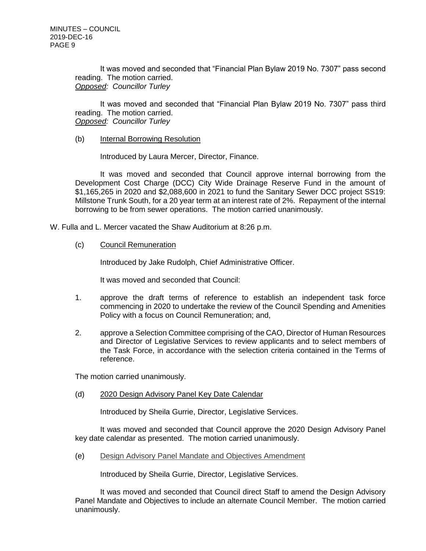It was moved and seconded that "Financial Plan Bylaw 2019 No. 7307" pass second reading. The motion carried. *Opposed: Councillor Turley*

It was moved and seconded that "Financial Plan Bylaw 2019 No. 7307" pass third reading. The motion carried. *Opposed: Councillor Turley*

#### (b) Internal Borrowing Resolution

Introduced by Laura Mercer, Director, Finance.

It was moved and seconded that Council approve internal borrowing from the Development Cost Charge (DCC) City Wide Drainage Reserve Fund in the amount of \$1,165,265 in 2020 and \$2,088,600 in 2021 to fund the Sanitary Sewer DCC project SS19: Millstone Trunk South, for a 20 year term at an interest rate of 2%. Repayment of the internal borrowing to be from sewer operations. The motion carried unanimously.

W. Fulla and L. Mercer vacated the Shaw Auditorium at 8:26 p.m.

(c) Council Remuneration

Introduced by Jake Rudolph, Chief Administrative Officer.

It was moved and seconded that Council:

- 1. approve the draft terms of reference to establish an independent task force commencing in 2020 to undertake the review of the Council Spending and Amenities Policy with a focus on Council Remuneration; and,
- 2. approve a Selection Committee comprising of the CAO, Director of Human Resources and Director of Legislative Services to review applicants and to select members of the Task Force, in accordance with the selection criteria contained in the Terms of reference.

The motion carried unanimously.

(d) 2020 Design Advisory Panel Key Date Calendar

Introduced by Sheila Gurrie, Director, Legislative Services.

It was moved and seconded that Council approve the 2020 Design Advisory Panel key date calendar as presented. The motion carried unanimously.

(e) [Design Advisory Panel Mandate and Objectives Amendment](https://nanaimo.escribemeetings.com/Regular%20Council%20Meeting_Dec16_2019/Pages/preMeeting.aspx?preitemID=24)

Introduced by Sheila Gurrie, Director, Legislative Services.

It was moved and seconded that Council direct Staff to amend the Design Advisory Panel Mandate and Objectives to include an alternate Council Member. The motion carried unanimously.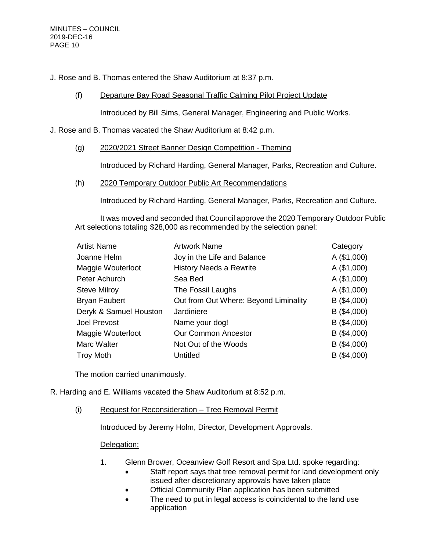J. Rose and B. Thomas entered the Shaw Auditorium at 8:37 p.m.

## (f) Departure Bay Road Seasonal Traffic Calming Pilot Project Update

Introduced by Bill Sims, General Manager, Engineering and Public Works.

#### J. Rose and B. Thomas vacated the Shaw Auditorium at 8:42 p.m.

## (g) 2020/2021 Street Banner Design Competition - Theming

Introduced by Richard Harding, General Manager, Parks, Recreation and Culture.

#### (h) 2020 Temporary Outdoor Public Art Recommendations

Introduced by Richard Harding, General Manager, Parks, Recreation and Culture.

It was moved and seconded that Council approve the 2020 Temporary Outdoor Public Art selections totaling \$28,000 as recommended by the selection panel:

| <b>Artist Name</b>     | <b>Artwork Name</b>                   | Category      |
|------------------------|---------------------------------------|---------------|
| Joanne Helm            | Joy in the Life and Balance           | A(\$1,000)    |
| Maggie Wouterloot      | <b>History Needs a Rewrite</b>        | A(\$1,000)    |
| Peter Achurch          | Sea Bed                               | A (\$1,000)   |
| <b>Steve Milroy</b>    | The Fossil Laughs                     | A(\$1,000)    |
| <b>Bryan Faubert</b>   | Out from Out Where: Beyond Liminality | $B($ \$4,000) |
| Deryk & Samuel Houston | Jardiniere                            | $B($ \$4,000) |
| <b>Joel Prevost</b>    | Name your dog!                        | $B($ \$4,000) |
| Maggie Wouterloot      | <b>Our Common Ancestor</b>            | $B($ \$4,000) |
| Marc Walter            | Not Out of the Woods                  | $B($ \$4,000) |
| <b>Troy Moth</b>       | Untitled                              | B (\$4,000)   |

The motion carried unanimously.

- R. Harding and E. Williams vacated the Shaw Auditorium at 8:52 p.m.
	- (i) Request for Reconsideration Tree Removal Permit

Introduced by Jeremy Holm, Director, Development Approvals.

## Delegation:

- 1. Glenn Brower, Oceanview Golf Resort and Spa Ltd. spoke regarding:
	- Staff report says that tree removal permit for land development only issued after discretionary approvals have taken place
	- Official Community Plan application has been submitted
	- The need to put in legal access is coincidental to the land use application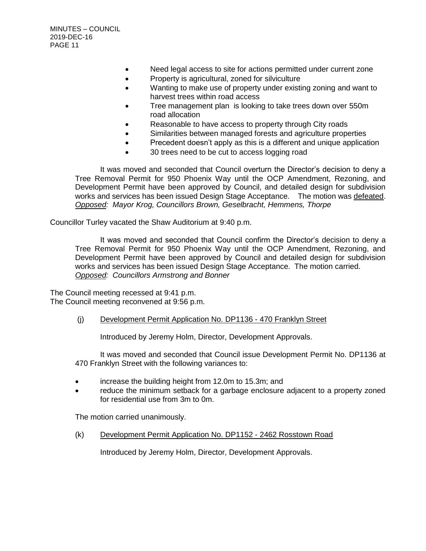- Need legal access to site for actions permitted under current zone
- Property is agricultural, zoned for silviculture
- Wanting to make use of property under existing zoning and want to harvest trees within road access
- Tree management plan is looking to take trees down over 550m road allocation
- Reasonable to have access to property through City roads
- Similarities between managed forests and agriculture properties
- Precedent doesn't apply as this is a different and unique application
- 30 trees need to be cut to access logging road

It was moved and seconded that Council overturn the Director's decision to deny a Tree Removal Permit for 950 Phoenix Way until the OCP Amendment, Rezoning, and Development Permit have been approved by Council, and detailed design for subdivision works and services has been issued Design Stage Acceptance. The motion was defeated. *Opposed: Mayor Krog, Councillors Brown, Geselbracht, Hemmens, Thorpe*

Councillor Turley vacated the Shaw Auditorium at 9:40 p.m.

It was moved and seconded that Council confirm the Director's decision to deny a Tree Removal Permit for 950 Phoenix Way until the OCP Amendment, Rezoning, and Development Permit have been approved by Council and detailed design for subdivision works and services has been issued Design Stage Acceptance. The motion carried. *Opposed: Councillors Armstrong and Bonner*

The Council meeting recessed at 9:41 p.m. The Council meeting reconvened at 9:56 p.m.

#### (j) Development Permit Application No. DP1136 - 470 Franklyn Street

Introduced by Jeremy Holm, Director, Development Approvals.

It was moved and seconded that Council issue Development Permit No. DP1136 at 470 Franklyn Street with the following variances to:

- increase the building height from 12.0m to 15.3m; and
- reduce the minimum setback for a garbage enclosure adjacent to a property zoned for residential use from 3m to 0m.

The motion carried unanimously.

(k) Development Permit Application No. DP1152 - 2462 Rosstown Road

Introduced by Jeremy Holm, Director, Development Approvals.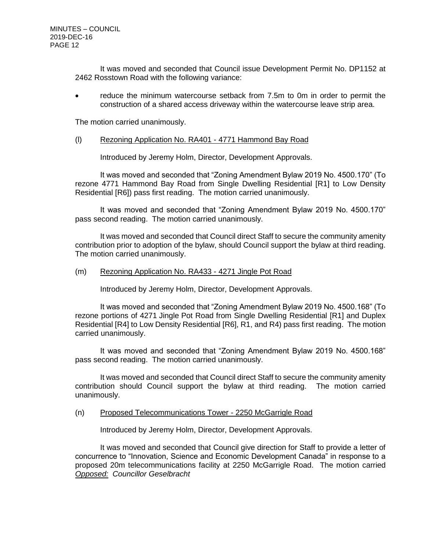It was moved and seconded that Council issue Development Permit No. DP1152 at 2462 Rosstown Road with the following variance:

 reduce the minimum watercourse setback from 7.5m to 0m in order to permit the construction of a shared access driveway within the watercourse leave strip area.

The motion carried unanimously.

#### (l) Rezoning Application No. RA401 - 4771 Hammond Bay Road

Introduced by Jeremy Holm, Director, Development Approvals.

It was moved and seconded that "Zoning Amendment Bylaw 2019 No. 4500.170" (To rezone 4771 Hammond Bay Road from Single Dwelling Residential [R1] to Low Density Residential [R6]) pass first reading. The motion carried unanimously.

It was moved and seconded that "Zoning Amendment Bylaw 2019 No. 4500.170" pass second reading. The motion carried unanimously.

It was moved and seconded that Council direct Staff to secure the community amenity contribution prior to adoption of the bylaw, should Council support the bylaw at third reading. The motion carried unanimously.

(m) Rezoning Application No. RA433 - 4271 Jingle Pot Road

Introduced by Jeremy Holm, Director, Development Approvals.

It was moved and seconded that "Zoning Amendment Bylaw 2019 No. 4500.168" (To rezone portions of 4271 Jingle Pot Road from Single Dwelling Residential [R1] and Duplex Residential [R4] to Low Density Residential [R6], R1, and R4) pass first reading. The motion carried unanimously.

It was moved and seconded that "Zoning Amendment Bylaw 2019 No. 4500.168" pass second reading. The motion carried unanimously.

It was moved and seconded that Council direct Staff to secure the community amenity contribution should Council support the bylaw at third reading. The motion carried unanimously.

(n) Proposed Telecommunications Tower - 2250 McGarrigle Road

Introduced by Jeremy Holm, Director, Development Approvals.

It was moved and seconded that Council give direction for Staff to provide a letter of concurrence to "Innovation, Science and Economic Development Canada" in response to a proposed 20m telecommunications facility at 2250 McGarrigle Road. The motion carried *Opposed: Councillor Geselbracht*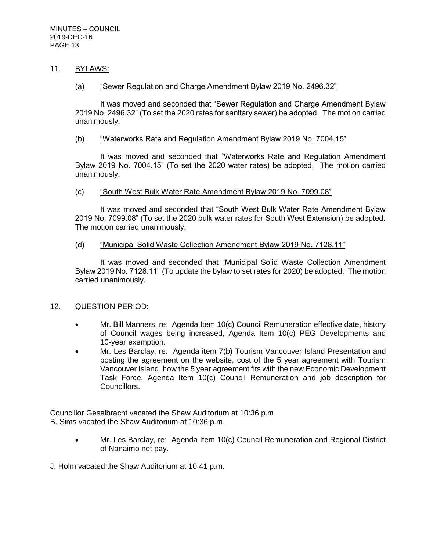## 11. BYLAWS:

#### (a) "Sewer Regulation and Charge Amendment Bylaw 2019 No. 2496.32"

It was moved and seconded that "Sewer Regulation and Charge Amendment Bylaw 2019 No. 2496.32" (To set the 2020 rates for sanitary sewer) be adopted. The motion carried unanimously.

#### (b) "Waterworks Rate and Regulation Amendment Bylaw 2019 No. 7004.15"

It was moved and seconded that "Waterworks Rate and Regulation Amendment Bylaw 2019 No. 7004.15" (To set the 2020 water rates) be adopted. The motion carried unanimously.

#### (c) "South West Bulk Water Rate Amendment Bylaw 2019 No. 7099.08"

It was moved and seconded that "South West Bulk Water Rate Amendment Bylaw 2019 No. 7099.08" (To set the 2020 bulk water rates for South West Extension) be adopted. The motion carried unanimously.

#### (d) "Municipal Solid Waste Collection Amendment Bylaw 2019 No. 7128.11"

It was moved and seconded that "Municipal Solid Waste Collection Amendment Bylaw 2019 No. 7128.11" (To update the bylaw to set rates for 2020) be adopted. The motion carried unanimously.

## 12. QUESTION PERIOD:

- Mr. Bill Manners, re: Agenda Item 10(c) Council Remuneration effective date, history of Council wages being increased, Agenda Item 10(c) PEG Developments and 10-year exemption.
- Mr. Les Barclay, re: Agenda item 7(b) Tourism Vancouver Island Presentation and posting the agreement on the website, cost of the 5 year agreement with Tourism Vancouver Island, how the 5 year agreement fits with the new Economic Development Task Force, Agenda Item 10(c) Council Remuneration and job description for Councillors.

Councillor Geselbracht vacated the Shaw Auditorium at 10:36 p.m. B. Sims vacated the Shaw Auditorium at 10:36 p.m.

> • Mr. Les Barclay, re: Agenda Item 10(c) Council Remuneration and Regional District of Nanaimo net pay.

J. Holm vacated the Shaw Auditorium at 10:41 p.m.